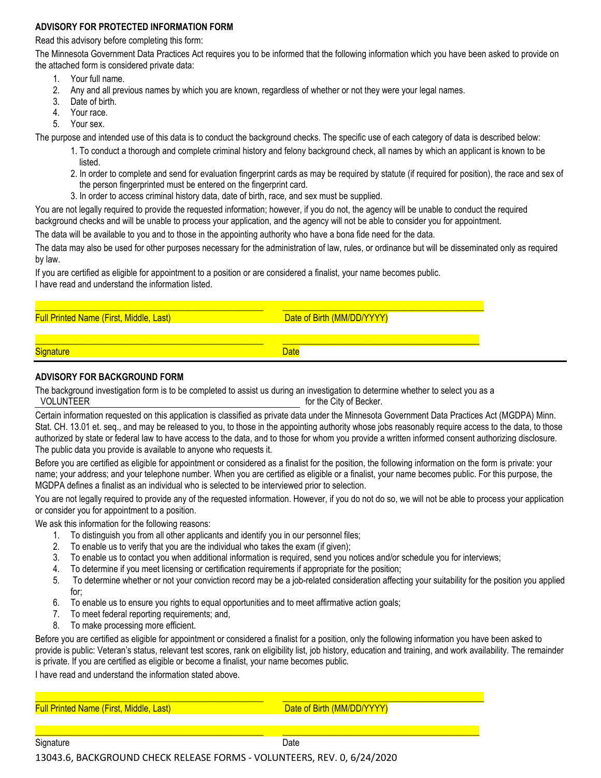## **ADVISORY FOR PROTECTED INFORMATION FORM**

Read this advisory before completing this form:

The Minnesota Government Data Practices Act requires you to be informed that the following information which you have been asked to provide on the attached form is considered private data:

- 1. Your full name.
- 2. Any and all previous names by which you are known, regardless of whether or not they were your legal names.
- 3. Date of birth.
- 4. Your race.
- 5. Your sex.

The purpose and intended use of this data is to conduct the background checks. The specific use of each category of data is described below:

- 1. To conduct a thorough and complete criminal history and felony background check, all names by which an applicant is known to be listed.
- 2. In order to complete and send for evaluation fingerprint cards as may be required by statute (if required for position), the race and sex of the person fingerprinted must be entered on the fingerprint card.
- 3. In order to access criminal history data, date of birth, race, and sex must be supplied.

You are not legally required to provide the requested information; however, if you do not, the agency will be unable to conduct the required background checks and will be unable to process your application, and the agency will not be able to consider you for appointment.

The data will be available to you and to those in the appointing authority who have a bona fide need for the data.

The data may also be used for other purposes necessary for the administration of law, rules, or ordinance but will be disseminated only as required by law.

If you are certified as eligible for appointment to a position or are considered a finalist, your name becomes public. I have read and understand the information listed.

| <b>Full Printed Name (First, Middle, Last)</b> | Date of Birth (MM/DD/YYYY) |
|------------------------------------------------|----------------------------|

**Date of Birth (MM/DD/YYYY)** 

\_\_\_\_\_\_\_\_\_\_\_\_\_\_\_\_\_\_\_\_\_\_\_\_\_\_\_\_\_\_\_\_\_\_\_\_\_\_\_\_\_\_\_\_\_\_\_\_\_\_\_ \_\_\_\_\_\_\_\_\_\_\_\_\_\_\_\_\_\_\_\_\_\_\_\_\_\_\_\_\_\_\_\_\_\_\_\_\_\_\_\_\_\_\_\_ Signature Date Control of the Control of the Control of the Date Date

## **ADVISORY FOR BACKGROUND FORM**

The background investigation form is to be completed to assist us during an investigation to determine whether to select you as a VOLUNTEER for the City of Becker.

Certain information requested on this application is classified as private data under the Minnesota Government Data Practices Act (MGDPA) Minn. Stat. CH. 13.01 et. seq., and may be released to you, to those in the appointing authority whose jobs reasonably require access to the data, to those authorized by state or federal law to have access to the data, and to those for whom you provide a written informed consent authorizing disclosure. The public data you provide is available to anyone who requests it.

Before you are certified as eligible for appointment or considered as a finalist for the position, the following information on the form is private: your name; your address; and your telephone number. When you are certified as eligible or a finalist, your name becomes public. For this purpose, the MGDPA defines a finalist as an individual who is selected to be interviewed prior to selection.

You are not legally required to provide any of the requested information. However, if you do not do so, we will not be able to process your application or consider you for appointment to a position.

We ask this information for the following reasons:

- 1. To distinguish you from all other applicants and identify you in our personnel files;
- 2. To enable us to verify that you are the individual who takes the exam (if given);
- 3. To enable us to contact you when additional information is required, send you notices and/or schedule you for interviews;
- 4. To determine if you meet licensing or certification requirements if appropriate for the position;
- 5. To determine whether or not your conviction record may be a job-related consideration affecting your suitability for the position you applied for;
- 6. To enable us to ensure you rights to equal opportunities and to meet affirmative action goals;
- 7. To meet federal reporting requirements; and,
- 8. To make processing more efficient.

Before you are certified as eligible for appointment or considered a finalist for a position, only the following information you have been asked to provide is public: Veteran's status, relevant test scores, rank on eligibility list, job history, education and training, and work availability. The remainder is private. If you are certified as eligible or become a finalist, your name becomes public.

I have read and understand the information stated above.

\_\_\_\_\_\_\_\_\_\_\_\_\_\_\_\_\_\_\_\_\_\_\_\_\_\_\_\_\_\_\_\_\_\_\_\_\_\_\_\_\_\_\_\_\_\_\_\_\_\_\_ \_\_\_\_\_\_\_\_\_\_\_\_\_\_\_\_\_\_\_\_\_\_\_\_\_\_\_\_\_\_\_\_\_\_\_\_\_\_\_\_\_\_\_\_\_ Full Printed Name (First, Middle, Last) Date of Birth (MM/DD/YYYY)

13043.6, BACKGROUND CHECK RELEASE FORMS - VOLUNTEERS, REV. 0, 6/24/2020

\_\_\_\_\_\_\_\_\_\_\_\_\_\_\_\_\_\_\_\_\_\_\_\_\_\_\_\_\_\_\_\_\_\_\_\_\_\_\_\_\_\_\_\_\_\_\_\_\_\_\_ \_\_\_\_\_\_\_\_\_\_\_\_\_\_\_\_\_\_\_\_\_\_\_\_\_\_\_\_\_\_\_\_\_\_\_\_\_\_\_\_\_\_\_\_